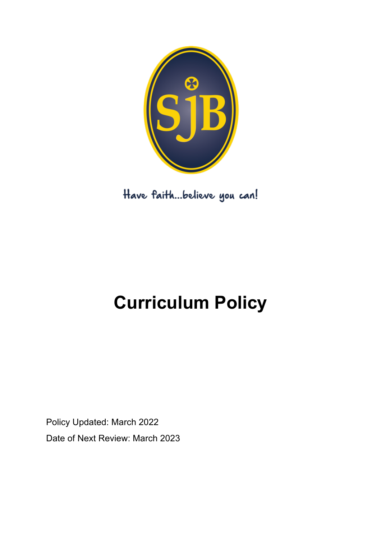

Have faith...believe you can!

# **Curriculum Policy**

Policy Updated: March 2022 Date of Next Review: March 2023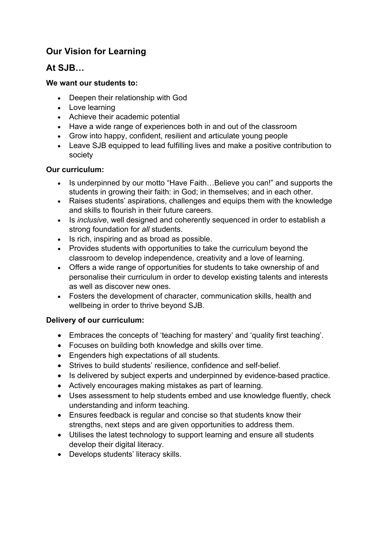# **Our Vision for Learning**

# **At SJB…**

## **We want our students to:**

- Deepen their relationship with God
- Love learning
- Achieve their academic potential
- Have a wide range of experiences both in and out of the classroom
- Grow into happy, confident, resilient and articulate young people
- Leave SJB equipped to lead fulfilling lives and make a positive contribution to society

## **Our curriculum:**

- Is underpinned by our motto "Have Faith...Believe you can!" and supports the students in growing their faith: in God; in themselves; and in each other.
- Raises students' aspirations, challenges and equips them with the knowledge and skills to flourish in their future careers.
- Is *inclusive*, well designed and coherently sequenced in order to establish a strong foundation for *all* students.
- Is rich, inspiring and as broad as possible.
- Provides students with opportunities to take the curriculum beyond the classroom to develop independence, creativity and a love of learning.
- Offers a wide range of opportunities for students to take ownership of and personalise their curriculum in order to develop existing talents and interests as well as discover new ones.
- Fosters the development of character, communication skills, health and wellbeing in order to thrive beyond SJB.

### **Delivery of our curriculum:**

- Embraces the concepts of 'teaching for mastery' and 'quality first teaching'.
- Focuses on building both knowledge and skills over time.
- Engenders high expectations of all students.
- Strives to build students' resilience, confidence and self-belief.
- Is delivered by subject experts and underpinned by evidence-based practice.
- Actively encourages making mistakes as part of learning.
- Uses assessment to help students embed and use knowledge fluently, check understanding and inform teaching.
- Ensures feedback is regular and concise so that students know their strengths, next steps and are given opportunities to address them.
- Utilises the latest technology to support learning and ensure all students develop their digital literacy.
- Develops students' literacy skills.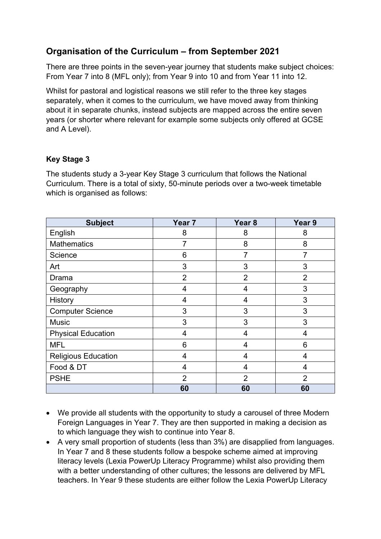# **Organisation of the Curriculum – from September 2021**

There are three points in the seven-year journey that students make subject choices: From Year 7 into 8 (MFL only); from Year 9 into 10 and from Year 11 into 12.

Whilst for pastoral and logistical reasons we still refer to the three key stages separately, when it comes to the curriculum, we have moved away from thinking about it in separate chunks, instead subjects are mapped across the entire seven years (or shorter where relevant for example some subjects only offered at GCSE and A Level).

## **Key Stage 3**

The students study a 3-year Key Stage 3 curriculum that follows the National Curriculum. There is a total of sixty, 50-minute periods over a two-week timetable which is organised as follows:

| <b>Subject</b>             | Year <sub>7</sub> | Year <sub>8</sub> | Year 9         |
|----------------------------|-------------------|-------------------|----------------|
| English                    | 8                 | 8                 | 8              |
| <b>Mathematics</b>         | 7                 | 8                 | 8              |
| Science                    | 6                 | 7                 |                |
| Art                        | 3                 | 3                 | 3              |
| Drama                      | $\overline{2}$    | $\overline{2}$    | $\overline{2}$ |
| Geography                  | 4                 | 4                 | 3              |
| History                    | 4                 | 4                 | 3              |
| <b>Computer Science</b>    | 3                 | 3                 | 3              |
| <b>Music</b>               | 3                 | 3                 | 3              |
| <b>Physical Education</b>  | 4                 | 4                 | 4              |
| <b>MFL</b>                 | 6                 | 4                 | 6              |
| <b>Religious Education</b> | 4                 | 4                 | 4              |
| Food & DT                  | 4                 | 4                 | 4              |
| <b>PSHE</b>                | $\overline{2}$    | $\overline{2}$    | $\overline{2}$ |
|                            | 60                | 60                | 60             |

- We provide all students with the opportunity to study a carousel of three Modern Foreign Languages in Year 7. They are then supported in making a decision as to which language they wish to continue into Year 8.
- A very small proportion of students (less than 3%) are disapplied from languages. In Year 7 and 8 these students follow a bespoke scheme aimed at improving literacy levels (Lexia PowerUp Literacy Programme) whilst also providing them with a better understanding of other cultures; the lessons are delivered by MFL teachers. In Year 9 these students are either follow the Lexia PowerUp Literacy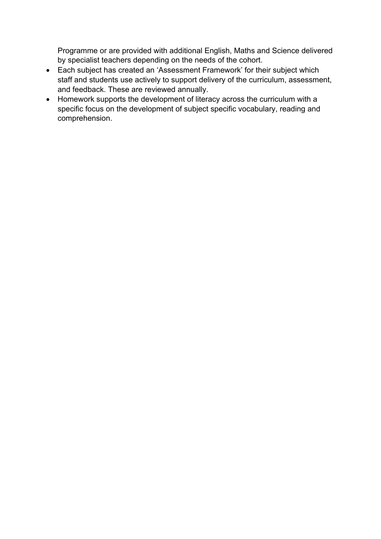Programme or are provided with additional English, Maths and Science delivered by specialist teachers depending on the needs of the cohort.

- Each subject has created an 'Assessment Framework' for their subject which staff and students use actively to support delivery of the curriculum, assessment, and feedback. These are reviewed annually.
- Homework supports the development of literacy across the curriculum with a specific focus on the development of subject specific vocabulary, reading and comprehension.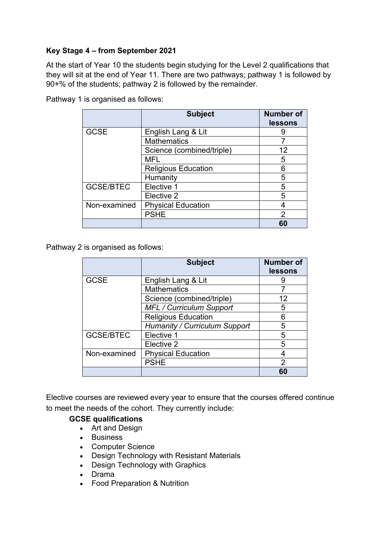## **Key Stage 4 – from September 2021**

At the start of Year 10 the students begin studying for the Level 2 qualifications that they will sit at the end of Year 11. There are two pathways; pathway 1 is followed by 90+% of the students; pathway 2 is followed by the remainder.

|                  | <b>Subject</b>             | <b>Number of</b><br>lessons |
|------------------|----------------------------|-----------------------------|
| <b>GCSE</b>      | English Lang & Lit         |                             |
|                  | <b>Mathematics</b>         |                             |
|                  | Science (combined/triple)  | 12                          |
|                  | MFL                        | 5                           |
|                  | <b>Religious Education</b> | 6                           |
|                  | Humanity                   | 5                           |
| <b>GCSE/BTEC</b> | Elective 1                 | 5                           |
|                  | Elective 2                 | 5                           |
| Non-examined     | <b>Physical Education</b>  | 4                           |
|                  | <b>PSHE</b>                | 2                           |
|                  |                            | 60                          |

Pathway 1 is organised as follows:

Pathway 2 is organised as follows:

|                  | <b>Subject</b>                       | <b>Number of</b><br>lessons |
|------------------|--------------------------------------|-----------------------------|
| <b>GCSE</b>      | English Lang & Lit                   | 9                           |
|                  | <b>Mathematics</b>                   |                             |
|                  | Science (combined/triple)            | 12                          |
|                  | <b>MFL / Curriculum Support</b>      | 5                           |
|                  | <b>Religious Education</b>           | հ                           |
|                  | <b>Humanity / Curriculum Support</b> | 5                           |
| <b>GCSE/BTEC</b> | Elective 1                           | 5                           |
|                  | Elective 2                           | 5                           |
| Non-examined     | <b>Physical Education</b>            |                             |
|                  | <b>PSHE</b>                          | 2                           |
|                  |                                      |                             |

Elective courses are reviewed every year to ensure that the courses offered continue to meet the needs of the cohort. They currently include:

#### **GCSE qualifications**

- Art and Design
- Business
- Computer Science
- Design Technology with Resistant Materials
- Design Technology with Graphics
- Drama
- Food Preparation & Nutrition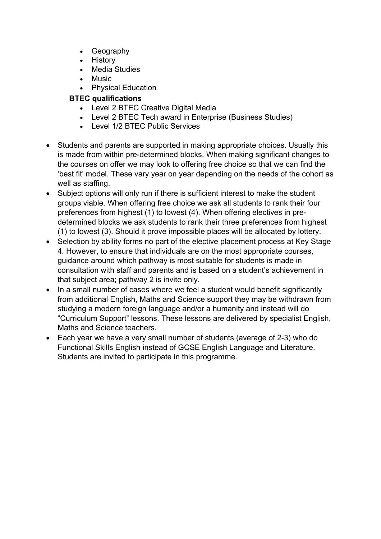- Geography
- History
- Media Studies
- Music
- Physical Education

# **BTEC qualifications**

- Level 2 BTEC Creative Digital Media
- Level 2 BTEC Tech award in Enterprise (Business Studies)
- Level 1/2 BTEC Public Services
- Students and parents are supported in making appropriate choices. Usually this is made from within pre-determined blocks. When making significant changes to the courses on offer we may look to offering free choice so that we can find the 'best fit' model. These vary year on year depending on the needs of the cohort as well as staffing.
- Subject options will only run if there is sufficient interest to make the student groups viable. When offering free choice we ask all students to rank their four preferences from highest (1) to lowest (4). When offering electives in predetermined blocks we ask students to rank their three preferences from highest (1) to lowest (3). Should it prove impossible places will be allocated by lottery.
- Selection by ability forms no part of the elective placement process at Key Stage 4. However, to ensure that individuals are on the most appropriate courses, guidance around which pathway is most suitable for students is made in consultation with staff and parents and is based on a student's achievement in that subject area; pathway 2 is invite only.
- In a small number of cases where we feel a student would benefit significantly from additional English, Maths and Science support they may be withdrawn from studying a modern foreign language and/or a humanity and instead will do "Curriculum Support" lessons. These lessons are delivered by specialist English, Maths and Science teachers.
- Each year we have a very small number of students (average of 2-3) who do Functional Skills English instead of GCSE English Language and Literature. Students are invited to participate in this programme.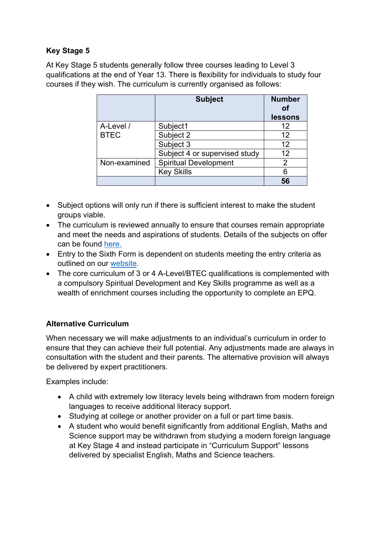# **Key Stage 5**

At Key Stage 5 students generally follow three courses leading to Level 3 qualifications at the end of Year 13. There is flexibility for individuals to study four courses if they wish. The curriculum is currently organised as follows:

|              | <b>Subject</b>                | <b>Number</b><br><u>n</u><br>lessons |
|--------------|-------------------------------|--------------------------------------|
| A-Level /    | Subject1                      | 12                                   |
| <b>BTEC</b>  | Subject 2                     | 12                                   |
|              | Subject 3                     | 12                                   |
|              | Subject 4 or supervised study | 12                                   |
| Non-examined | <b>Spiritual Development</b>  | 2                                    |
|              | <b>Key Skills</b>             |                                      |
|              |                               |                                      |

- Subject options will only run if there is sufficient interest to make the student groups viable.
- The curriculum is reviewed annually to ensure that courses remain appropriate and meet the needs and aspirations of students. Details of the subjects on offer can be found here.
- Entry to the Sixth Form is dependent on students meeting the entry criteria as outlined on our website.
- The core curriculum of 3 or 4 A-Level/BTEC qualifications is complemented with a compulsory Spiritual Development and Key Skills programme as well as a wealth of enrichment courses including the opportunity to complete an EPQ.

# **Alternative Curriculum**

When necessary we will make adjustments to an individual's curriculum in order to ensure that they can achieve their full potential. Any adjustments made are always in consultation with the student and their parents. The alternative provision will always be delivered by expert practitioners.

Examples include:

- A child with extremely low literacy levels being withdrawn from modern foreign languages to receive additional literacy support.
- Studying at college or another provider on a full or part time basis.
- A student who would benefit significantly from additional English, Maths and Science support may be withdrawn from studying a modern foreign language at Key Stage 4 and instead participate in "Curriculum Support" lessons delivered by specialist English, Maths and Science teachers.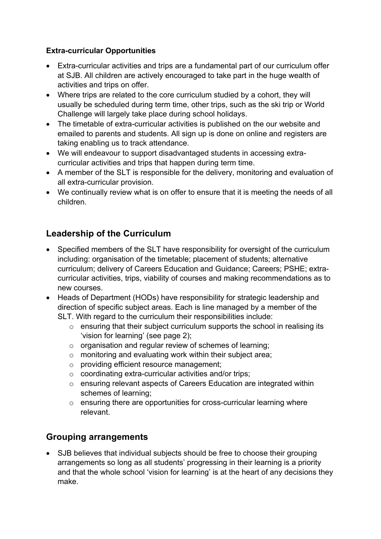## **Extra-curricular Opportunities**

- Extra-curricular activities and trips are a fundamental part of our curriculum offer at SJB. All children are actively encouraged to take part in the huge wealth of activities and trips on offer.
- Where trips are related to the core curriculum studied by a cohort, they will usually be scheduled during term time, other trips, such as the ski trip or World Challenge will largely take place during school holidays.
- The timetable of extra-curricular activities is published on the our website and emailed to parents and students. All sign up is done on online and registers are taking enabling us to track attendance.
- We will endeavour to support disadvantaged students in accessing extracurricular activities and trips that happen during term time.
- A member of the SLT is responsible for the delivery, monitoring and evaluation of all extra-curricular provision.
- We continually review what is on offer to ensure that it is meeting the needs of all children.

# **Leadership of the Curriculum**

- Specified members of the SLT have responsibility for oversight of the curriculum including: organisation of the timetable; placement of students; alternative curriculum; delivery of Careers Education and Guidance; Careers; PSHE; extracurricular activities, trips, viability of courses and making recommendations as to new courses.
- Heads of Department (HODs) have responsibility for strategic leadership and direction of specific subject areas. Each is line managed by a member of the SLT. With regard to the curriculum their responsibilities include:
	- $\circ$  ensuring that their subject curriculum supports the school in realising its 'vision for learning' (see page 2);
	- o organisation and regular review of schemes of learning;
	- o monitoring and evaluating work within their subject area;
	- o providing efficient resource management;
	- o coordinating extra-curricular activities and/or trips;
	- o ensuring relevant aspects of Careers Education are integrated within schemes of learning;
	- $\circ$  ensuring there are opportunities for cross-curricular learning where relevant.

# **Grouping arrangements**

• SJB believes that individual subjects should be free to choose their grouping arrangements so long as all students' progressing in their learning is a priority and that the whole school 'vision for learning' is at the heart of any decisions they make.